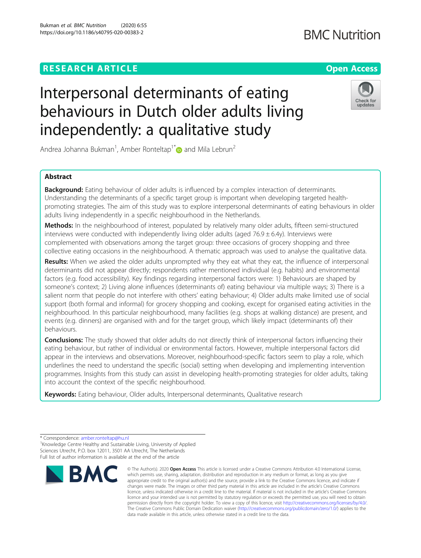# **RESEARCH ARTICLE Example 2014 12:30 The Contract of Contract ACCESS**

# Interpersonal determinants of eating behaviours in Dutch older adults living independently: a qualitative study

Andrea Johanna Bukman<sup>1</sup>, Amber Ronteltap<sup>1\*</sup> $\bullet$  and Mila Lebrun<sup>2</sup>

# Abstract

Background: Eating behaviour of older adults is influenced by a complex interaction of determinants. Understanding the determinants of a specific target group is important when developing targeted healthpromoting strategies. The aim of this study was to explore interpersonal determinants of eating behaviours in older adults living independently in a specific neighbourhood in the Netherlands.

Methods: In the neighbourhood of interest, populated by relatively many older adults, fifteen semi-structured interviews were conducted with independently living older adults (aged 76.9 ± 6.4y). Interviews were complemented with observations among the target group: three occasions of grocery shopping and three collective eating occasions in the neighbourhood. A thematic approach was used to analyse the qualitative data.

Results: When we asked the older adults unprompted why they eat what they eat, the influence of interpersonal determinants did not appear directly; respondents rather mentioned individual (e.g. habits) and environmental factors (e.g. food accessibility). Key findings regarding interpersonal factors were: 1) Behaviours are shaped by someone's context; 2) Living alone influences (determinants of) eating behaviour via multiple ways; 3) There is a salient norm that people do not interfere with others' eating behaviour; 4) Older adults make limited use of social support (both formal and informal) for grocery shopping and cooking, except for organised eating activities in the neighbourhood. In this particular neighbourhood, many facilities (e.g. shops at walking distance) are present, and events (e.g. dinners) are organised with and for the target group, which likely impact (determinants of) their behaviours.

**Conclusions:** The study showed that older adults do not directly think of interpersonal factors influencing their eating behaviour, but rather of individual or environmental factors. However, multiple interpersonal factors did appear in the interviews and observations. Moreover, neighbourhood-specific factors seem to play a role, which underlines the need to understand the specific (social) setting when developing and implementing intervention programmes. Insights from this study can assist in developing health-promoting strategies for older adults, taking into account the context of the specific neighbourhood.

Keywords: Eating behaviour, Older adults, Interpersonal determinants, Qualitative research



<sup>©</sup> The Author(s), 2020 **Open Access** This article is licensed under a Creative Commons Attribution 4.0 International License, which permits use, sharing, adaptation, distribution and reproduction in any medium or format, as long as you give appropriate credit to the original author(s) and the source, provide a link to the Creative Commons licence, and indicate if changes were made. The images or other third party material in this article are included in the article's Creative Commons licence, unless indicated otherwise in a credit line to the material. If material is not included in the article's Creative Commons licence and your intended use is not permitted by statutory regulation or exceeds the permitted use, you will need to obtain permission directly from the copyright holder. To view a copy of this licence, visit [http://creativecommons.org/licenses/by/4.0/.](http://creativecommons.org/licenses/by/4.0/) The Creative Commons Public Domain Dedication waiver [\(http://creativecommons.org/publicdomain/zero/1.0/](http://creativecommons.org/publicdomain/zero/1.0/)) applies to the data made available in this article, unless otherwise stated in a credit line to the data.

**BMC Nutrition** 



<sup>\*</sup> Correspondence: [amber.ronteltap@hu.nl](mailto:amber.ronteltap@hu.nl) <sup>1</sup>

<sup>&</sup>lt;sup>1</sup> Knowledge Centre Healthy and Sustainable Living, University of Applied Sciences Utrecht, P.O. box 12011, 3501 AA Utrecht, The Netherlands Full list of author information is available at the end of the article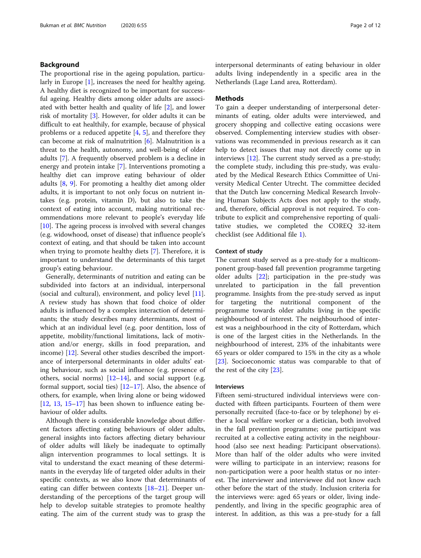# Background

The proportional rise in the ageing population, particularly in Europe [[1\]](#page-10-0), increases the need for healthy ageing. A healthy diet is recognized to be important for successful ageing. Healthy diets among older adults are associated with better health and quality of life [[2](#page-10-0)], and lower risk of mortality [[3](#page-10-0)]. However, for older adults it can be difficult to eat healthily, for example, because of physical problems or a reduced appetite [[4,](#page-10-0) [5\]](#page-10-0), and therefore they can become at risk of malnutrition  $[6]$  $[6]$ . Malnutrition is a threat to the health, autonomy, and well-being of older adults [[7](#page-10-0)]. A frequently observed problem is a decline in energy and protein intake [[7\]](#page-10-0). Interventions promoting a healthy diet can improve eating behaviour of older adults [\[8,](#page-10-0) [9\]](#page-10-0). For promoting a healthy diet among older adults, it is important to not only focus on nutrient intakes (e.g. protein, vitamin D), but also to take the context of eating into account, making nutritional recommendations more relevant to people's everyday life [[10\]](#page-10-0). The ageing process is involved with several changes (e.g. widowhood, onset of disease) that influence people's context of eating, and that should be taken into account when trying to promote healthy diets [\[7](#page-10-0)]. Therefore, it is important to understand the determinants of this target group's eating behaviour.

Generally, determinants of nutrition and eating can be subdivided into factors at an individual, interpersonal (social and cultural), environment, and policy level [\[11](#page-10-0)]. A review study has shown that food choice of older adults is influenced by a complex interaction of determinants; the study describes many determinants, most of which at an individual level (e.g. poor dentition, loss of appetite, mobility/functional limitations, lack of motivation and/or energy, skills in food preparation, and income) [[12\]](#page-10-0). Several other studies described the importance of interpersonal determinants in older adults' eating behaviour, such as social influence (e.g. presence of others, social norms)  $[12-14]$  $[12-14]$  $[12-14]$ , and social support (e.g. formal support, social ties)  $[12-17]$  $[12-17]$  $[12-17]$ . Also, the absence of others, for example, when living alone or being widowed  $[12, 13, 15-17]$  $[12, 13, 15-17]$  $[12, 13, 15-17]$  $[12, 13, 15-17]$  $[12, 13, 15-17]$  $[12, 13, 15-17]$  $[12, 13, 15-17]$  $[12, 13, 15-17]$  $[12, 13, 15-17]$  has been shown to influence eating behaviour of older adults.

Although there is considerable knowledge about different factors affecting eating behaviours of older adults, general insights into factors affecting dietary behaviour of older adults will likely be inadequate to optimally align intervention programmes to local settings. It is vital to understand the exact meaning of these determinants in the everyday life of targeted older adults in their specific contexts, as we also know that determinants of eating can differ between contexts [\[18](#page-10-0)–[21\]](#page-10-0). Deeper understanding of the perceptions of the target group will help to develop suitable strategies to promote healthy eating. The aim of the current study was to grasp the interpersonal determinants of eating behaviour in older adults living independently in a specific area in the Netherlands (Lage Land area, Rotterdam).

# Methods

To gain a deeper understanding of interpersonal determinants of eating, older adults were interviewed, and grocery shopping and collective eating occasions were observed. Complementing interview studies with observations was recommended in previous research as it can help to detect issues that may not directly come up in interviews [[12](#page-10-0)]. The current study served as a pre-study; the complete study, including this pre-study, was evaluated by the Medical Research Ethics Committee of University Medical Center Utrecht. The committee decided that the Dutch law concerning Medical Research Involving Human Subjects Acts does not apply to the study, and, therefore, official approval is not required. To contribute to explicit and comprehensive reporting of qualitative studies, we completed the COREQ 32-item checklist (see Additional file [1](#page-9-0)).

## Context of study

The current study served as a pre-study for a multicomponent group-based fall prevention programme targeting older adults [[22\]](#page-10-0); participation in the pre-study was unrelated to participation in the fall prevention programme. Insights from the pre-study served as input for targeting the nutritional component of the programme towards older adults living in the specific neighbourhood of interest. The neighbourhood of interest was a neighbourhood in the city of Rotterdam, which is one of the largest cities in the Netherlands. In the neighbourhood of interest, 23% of the inhabitants were 65 years or older compared to 15% in the city as a whole [[23\]](#page-10-0). Socioeconomic status was comparable to that of the rest of the city [[23\]](#page-10-0).

#### Interviews

Fifteen semi-structured individual interviews were conducted with fifteen participants. Fourteen of them were personally recruited (face-to-face or by telephone) by either a local welfare worker or a dietician, both involved in the fall prevention programme; one participant was recruited at a collective eating activity in the neighbourhood (also see next heading: Participant observations). More than half of the older adults who were invited were willing to participate in an interview; reasons for non-participation were a poor health status or no interest. The interviewer and interviewee did not know each other before the start of the study. Inclusion criteria for the interviews were: aged 65 years or older, living independently, and living in the specific geographic area of interest. In addition, as this was a pre-study for a fall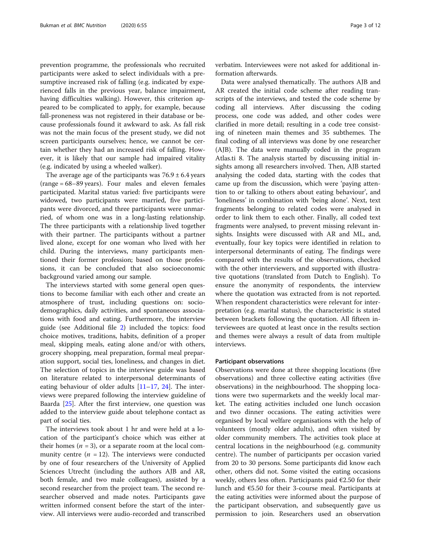prevention programme, the professionals who recruited participants were asked to select individuals with a presumptive increased risk of falling (e.g. indicated by experienced falls in the previous year, balance impairment, having difficulties walking). However, this criterion appeared to be complicated to apply, for example, because fall-proneness was not registered in their database or because professionals found it awkward to ask. As fall risk was not the main focus of the present study, we did not screen participants ourselves; hence, we cannot be certain whether they had an increased risk of falling. However, it is likely that our sample had impaired vitality (e.g. indicated by using a wheeled walker).

The average age of the participants was  $76.9 \pm 6.4$  years (range = 68–89 years). Four males and eleven females participated. Marital status varied: five participants were widowed, two participants were married, five participants were divorced, and three participants were unmarried, of whom one was in a long-lasting relationship. The three participants with a relationship lived together with their partner. The participants without a partner lived alone, except for one woman who lived with her child. During the interviews, many participants mentioned their former profession; based on those professions, it can be concluded that also socioeconomic background varied among our sample.

The interviews started with some general open questions to become familiar with each other and create an atmosphere of trust, including questions on: sociodemographics, daily activities, and spontaneous associations with food and eating. Furthermore, the interview guide (see Additional file [2\)](#page-9-0) included the topics: food choice motives, traditions, habits, definition of a proper meal, skipping meals, eating alone and/or with others, grocery shopping, meal preparation, formal meal preparation support, social ties, loneliness, and changes in diet. The selection of topics in the interview guide was based on literature related to interpersonal determinants of eating behaviour of older adults [\[11](#page-10-0)–[17,](#page-10-0) [24\]](#page-10-0). The interviews were prepared following the interview guideline of Baarda [[25\]](#page-10-0). After the first interview, one question was added to the interview guide about telephone contact as part of social ties.

The interviews took about 1 hr and were held at a location of the participant's choice which was either at their homes ( $n = 3$ ), or a separate room at the local community centre ( $n = 12$ ). The interviews were conducted by one of four researchers of the University of Applied Sciences Utrecht (including the authors AJB and AR, both female, and two male colleagues), assisted by a second researcher from the project team. The second researcher observed and made notes. Participants gave written informed consent before the start of the interview. All interviews were audio-recorded and transcribed

verbatim. Interviewees were not asked for additional information afterwards.

Data were analysed thematically. The authors AJB and AR created the initial code scheme after reading transcripts of the interviews, and tested the code scheme by coding all interviews. After discussing the coding process, one code was added, and other codes were clarified in more detail; resulting in a code tree consisting of nineteen main themes and 35 subthemes. The final coding of all interviews was done by one researcher (AJB). The data were manually coded in the program Atlas.ti 8. The analysis started by discussing initial insights among all researchers involved. Then, AJB started analysing the coded data, starting with the codes that came up from the discussion, which were 'paying attention to or talking to others about eating behaviour', and 'loneliness' in combination with 'being alone'. Next, text fragments belonging to related codes were analysed in order to link them to each other. Finally, all coded text fragments were analysed, to prevent missing relevant insights. Insights were discussed with AR and ML, and, eventually, four key topics were identified in relation to interpersonal determinants of eating. The findings were compared with the results of the observations, checked with the other interviewers, and supported with illustrative quotations (translated from Dutch to English). To ensure the anonymity of respondents, the interview where the quotation was extracted from is not reported. When respondent characteristics were relevant for interpretation (e.g. marital status), the characteristic is stated between brackets following the quotation. All fifteen interviewees are quoted at least once in the results section and themes were always a result of data from multiple interviews.

#### Participant observations

Observations were done at three shopping locations (five observations) and three collective eating activities (five observations) in the neighbourhood. The shopping locations were two supermarkets and the weekly local market. The eating activities included one lunch occasion and two dinner occasions. The eating activities were organised by local welfare organisations with the help of volunteers (mostly older adults), and often visited by older community members. The activities took place at central locations in the neighbourhood (e.g. community centre). The number of participants per occasion varied from 20 to 30 persons. Some participants did know each other, others did not. Some visited the eating occasions weekly, others less often. Participants paid €2.50 for their lunch and €5.50 for their 3-course meal. Participants at the eating activities were informed about the purpose of the participant observation, and subsequently gave us permission to join. Researchers used an observation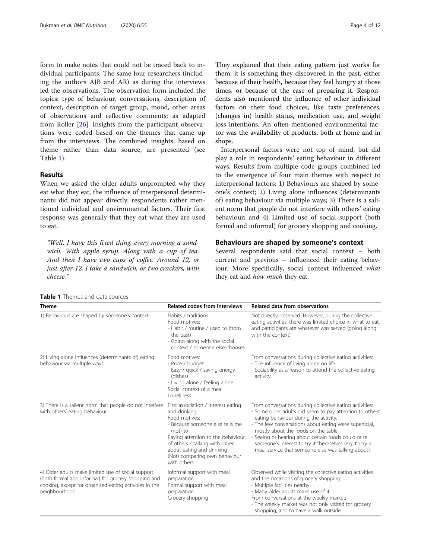form to make notes that could not be traced back to individual participants. The same four researchers (including the authors AJB and AR) as during the interviews led the observations. The observation form included the topics: type of behaviour, conversations, description of context, description of target group, mood, other areas of observations and reflective comments; as adapted from Roller [\[26\]](#page-10-0). Insights from the participant observations were coded based on the themes that came up from the interviews. The combined insights, based on theme rather than data source, are presented (see Table 1).

# Results

When we asked the older adults unprompted why they eat what they eat, the influence of interpersonal determinants did not appear directly; respondents rather mentioned individual and environmental factors. Their first response was generally that they eat what they are used to eat.

"Well, I have this fixed thing, every morning a sandwich. With apple syrup. Along with a cup of tea. And then I have two cups of coffee. Around 12, or just after 12, I take a sandwich, or two crackers, with cheese."

They explained that their eating pattern just works for them; it is something they discovered in the past, either because of their health, because they feel hungry at those times, or because of the ease of preparing it. Respondents also mentioned the influence of other individual factors on their food choices, like taste preferences, (changes in) health status, medication use, and weight loss intentions. An often-mentioned environmental factor was the availability of products, both at home and in shops.

Interpersonal factors were not top of mind, but did play a role in respondents' eating behaviour in different ways. Results from multiple code groups combined led to the emergence of four main themes with respect to interpersonal factors: 1) Behaviours are shaped by someone's context; 2) Living alone influences (determinants of) eating behaviour via multiple ways; 3) There is a salient norm that people do not interfere with others' eating behaviour; and 4) Limited use of social support (both formal and informal) for grocery shopping and cooking.

# Behaviours are shaped by someone's context

Several respondents said that social context – both current and previous – influenced their eating behaviour. More specifically, social context influenced what they eat and how much they eat.

| <b>Table 1</b> Themes and data sources |  |  |  |  |  |
|----------------------------------------|--|--|--|--|--|
|----------------------------------------|--|--|--|--|--|

| <b>Theme</b>                                                                                                                                                                         | <b>Related codes from interviews</b>                                                                                                                                                                                                                                    | Related data from observations                                                                                                                                                                                                                                                                                                                                                                                                        |
|--------------------------------------------------------------------------------------------------------------------------------------------------------------------------------------|-------------------------------------------------------------------------------------------------------------------------------------------------------------------------------------------------------------------------------------------------------------------------|---------------------------------------------------------------------------------------------------------------------------------------------------------------------------------------------------------------------------------------------------------------------------------------------------------------------------------------------------------------------------------------------------------------------------------------|
| 1) Behaviours are shaped by someone's context                                                                                                                                        | Habits / traditions<br>Food motives:<br>- Habit / routine / used to (from<br>the past)<br>- Going along with the social<br>context / someone else chooses                                                                                                               | Not directly observed. However, during the collective<br>eating activities, there was limited choice in what to eat,<br>and participants ate whatever was served (going along<br>with the context).                                                                                                                                                                                                                                   |
| 2) Living alone influences (determinants of) eating<br>behaviour via multiple ways                                                                                                   | Food motives:<br>- Price / budget<br>- Easy / quick / saving energy<br>(dishes)<br>- Living alone / feeling alone<br>Social context of a meal<br>Loneliness                                                                                                             | From conversations during collective eating activities:<br>- The influence of living alone on life.<br>- Sociability as a reason to attend the collective eating<br>activity.                                                                                                                                                                                                                                                         |
| 3) There is a salient norm that people do not interfere<br>with others' eating behaviour                                                                                             | First association / interest eating<br>and drinking<br>Food motives:<br>- Because someone else tells me<br>(not) to<br>Paying attention to the behaviour<br>of others / talking with other<br>about eating and drinking<br>(Not) comparing own behaviour<br>with others | From conversations during collective eating activities:<br>- Some older adults did seem to pay attention to others'<br>eating behaviour during the activity.<br>- The few conversations about eating were superficial,<br>mostly about the foods on the table.<br>- Seeing or hearing about certain foods could raise<br>someone's interest to try it themselves (e.g. to try a<br>meal service that someone else was talking about). |
| 4) Older adults make limited use of social support<br>(both formal and informal) for grocery shopping and<br>cooking, except for organised eating activities in the<br>neighbourhood | Informal support with meal<br>preparation<br>Formal support with meal<br>preparation<br>Grocery shopping                                                                                                                                                                | Observed while visiting the collective eating activities<br>and the occasions of grocery shopping:<br>- Multiple facilities nearby<br>- Many older adults make use of it<br>From conversations at the weekly market:<br>- The weekly market was not only visited for grocery<br>shopping, also to have a walk outside.                                                                                                                |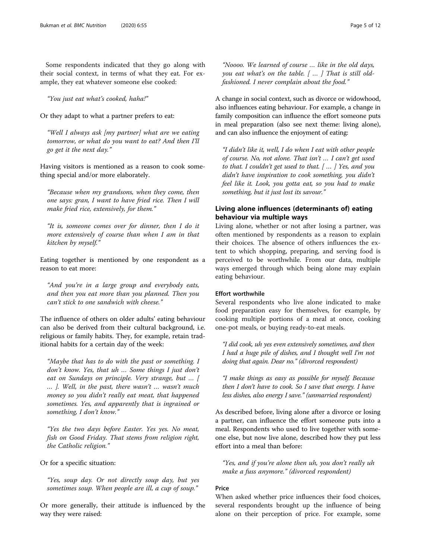Some respondents indicated that they go along with their social context, in terms of what they eat. For example, they eat whatever someone else cooked:

"You just eat what's cooked, haha!"

Or they adapt to what a partner prefers to eat:

"Well I always ask [my partner] what are we eating tomorrow, or what do you want to eat? And then I'll go get it the next day."

Having visitors is mentioned as a reason to cook something special and/or more elaborately.

"Because when my grandsons, when they come, then one says: gran, I want to have fried rice. Then I will make fried rice, extensively, for them."

"It is, someone comes over for dinner, then I do it more extensively of course than when I am in that kitchen by myself."

Eating together is mentioned by one respondent as a reason to eat more:

"And you're in a large group and everybody eats, and then you eat more than you planned. Then you can't stick to one sandwich with cheese."

The influence of others on older adults' eating behaviour can also be derived from their cultural background, i.e. religious or family habits. They, for example, retain traditional habits for a certain day of the week:

"Maybe that has to do with the past or something. I don't know. Yes, that uh … Some things I just don't eat on Sundays on principle. Very strange, but … [ … ]. Well, in the past, there wasn't … wasn't much money so you didn't really eat meat, that happened sometimes. Yes, and apparently that is ingrained or something, I don't know."

"Yes the two days before Easter. Yes yes. No meat, fish on Good Friday. That stems from religion right, the Catholic religion."

Or for a specific situation:

"Yes, soup day. Or not directly soup day, but yes sometimes soup. When people are ill, a cup of soup."

Or more generally, their attitude is influenced by the way they were raised:

"Noooo. We learned of course … like in the old days, you eat what's on the table. [ … ] That is still oldfashioned. I never complain about the food."

A change in social context, such as divorce or widowhood, also influences eating behaviour. For example, a change in family composition can influence the effort someone puts in meal preparation (also see next theme: living alone), and can also influence the enjoyment of eating:

"I didn't like it, well, I do when I eat with other people of course. No, not alone. That isn't … I can't get used to that. I couldn't get used to that.  $[$  ...  $]$  Yes, and you didn't have inspiration to cook something, you didn't feel like it. Look, you gotta eat, so you had to make something, but it just lost its savour."

# Living alone influences (determinants of) eating behaviour via multiple ways

Living alone, whether or not after losing a partner, was often mentioned by respondents as a reason to explain their choices. The absence of others influences the extent to which shopping, preparing, and serving food is perceived to be worthwhile. From our data, multiple ways emerged through which being alone may explain eating behaviour.

# Effort worthwhile

Several respondents who live alone indicated to make food preparation easy for themselves, for example, by cooking multiple portions of a meal at once, cooking one-pot meals, or buying ready-to-eat meals.

"I did cook, uh yes even extensively sometimes, and then I had a huge pile of dishes, and I thought well I'm not doing that again. Dear no." (divorced respondent)

"I make things as easy as possible for myself. Because then I don't have to cook. So I save that energy. I have less dishes, also energy I save." (unmarried respondent)

As described before, living alone after a divorce or losing a partner, can influence the effort someone puts into a meal. Respondents who used to live together with someone else, but now live alone, described how they put less effort into a meal than before:

"Yes, and if you're alone then uh, you don't really uh make a fuss anymore." (divorced respondent)

# Price

When asked whether price influences their food choices, several respondents brought up the influence of being alone on their perception of price. For example, some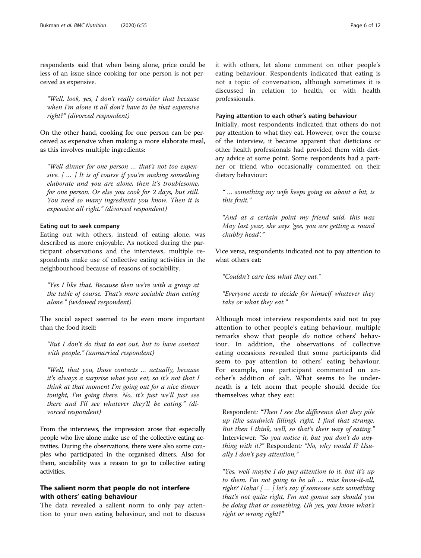respondents said that when being alone, price could be less of an issue since cooking for one person is not perceived as expensive.

"Well, look, yes, I don't really consider that because when I'm alone it all don't have to be that expensive right?" (divorced respondent)

On the other hand, cooking for one person can be perceived as expensive when making a more elaborate meal, as this involves multiple ingredients:

"Well dinner for one person … that's not too expensive. [ … ] It is of course if you're making something elaborate and you are alone, then it's troublesome, for one person. Or else you cook for 2 days, but still. You need so many ingredients you know. Then it is expensive all right." (divorced respondent)

## Eating out to seek company

Eating out with others, instead of eating alone, was described as more enjoyable. As noticed during the participant observations and the interviews, multiple respondents make use of collective eating activities in the neighbourhood because of reasons of sociability.

"Yes I like that. Because then we're with a group at the table of course. That's more sociable than eating alone." (widowed respondent)

The social aspect seemed to be even more important than the food itself:

"But I don't do that to eat out, but to have contact with people." (unmarried respondent)

"Well, that you, those contacts … actually, because it's always a surprise what you eat, so it's not that I think at that moment I'm going out for a nice dinner tonight, I'm going there. No, it's just we'll just see there and I'll see whatever they'll be eating." (divorced respondent)

From the interviews, the impression arose that especially people who live alone make use of the collective eating activities. During the observations, there were also some couples who participated in the organised diners. Also for them, sociability was a reason to go to collective eating activities.

# The salient norm that people do not interfere with others' eating behaviour

The data revealed a salient norm to only pay attention to your own eating behaviour, and not to discuss it with others, let alone comment on other people's eating behaviour. Respondents indicated that eating is not a topic of conversation, although sometimes it is discussed in relation to health, or with health professionals.

#### Paying attention to each other's eating behaviour

Initially, most respondents indicated that others do not pay attention to what they eat. However, over the course of the interview, it became apparent that dieticians or other health professionals had provided them with dietary advice at some point. Some respondents had a partner or friend who occasionally commented on their dietary behaviour:

" … something my wife keeps going on about a bit, is this fruit."

"And at a certain point my friend said, this was May last year, she says 'gee, you are getting a round chubby head'."

Vice versa, respondents indicated not to pay attention to what others eat:

"Couldn't care less what they eat."

"Everyone needs to decide for himself whatever they take or what they eat."

Although most interview respondents said not to pay attention to other people's eating behaviour, multiple remarks show that people do notice others' behaviour. In addition, the observations of collective eating occasions revealed that some participants did seem to pay attention to others' eating behaviour. For example, one participant commented on another's addition of salt. What seems to lie underneath is a felt norm that people should decide for themselves what they eat:

Respondent: "Then I see the difference that they pile up (the sandwich filling), right. I find that strange. But then I think, well, so that's their way of eating." Interviewer: "So you notice it, but you don't do anything with it?" Respondent: "No, why would I? Usually I don't pay attention."

"Yes, well maybe I do pay attention to it, but it's up to them. I'm not going to be uh … miss know-it-all, right? Haha! [ … ] let's say if someone eats something that's not quite right, I'm not gonna say should you be doing that or something. Uh yes, you know what's right or wrong right?"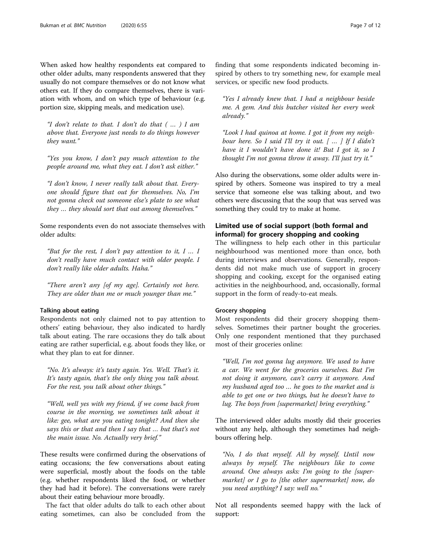When asked how healthy respondents eat compared to other older adults, many respondents answered that they usually do not compare themselves or do not know what others eat. If they do compare themselves, there is variation with whom, and on which type of behaviour (e.g. portion size, skipping meals, and medication use).

"I don't relate to that. I don't do that ( … ) I am above that. Everyone just needs to do things however they want."

"Yes you know, I don't pay much attention to the people around me, what they eat. I don't ask either."

"I don't know, I never really talk about that. Everyone should figure that out for themselves. No, I'm not gonna check out someone else's plate to see what they … they should sort that out among themselves."

Some respondents even do not associate themselves with older adults:

"But for the rest, I don't pay attention to it,  $I \ldots I$ don't really have much contact with older people. I don't really like older adults. Haha."

"There aren't any [of my age]. Certainly not here. They are older than me or much younger than me."

#### Talking about eating

Respondents not only claimed not to pay attention to others' eating behaviour, they also indicated to hardly talk about eating. The rare occasions they do talk about eating are rather superficial, e.g. about foods they like, or what they plan to eat for dinner.

"No. It's always: it's tasty again. Yes. Well. That's it. It's tasty again, that's the only thing you talk about. For the rest, you talk about other things."

"Well, well yes with my friend, if we come back from course in the morning, we sometimes talk about it like: gee, what are you eating tonight? And then she says this or that and then I say that … but that's not the main issue. No. Actually very brief."

These results were confirmed during the observations of eating occasions; the few conversations about eating were superficial, mostly about the foods on the table (e.g. whether respondents liked the food, or whether they had had it before). The conversations were rarely about their eating behaviour more broadly.

The fact that older adults do talk to each other about eating sometimes, can also be concluded from the

finding that some respondents indicated becoming inspired by others to try something new, for example meal services, or specific new food products.

"Yes I already knew that. I had a neighbour beside me. A gem. And this butcher visited her every week already."

"Look I had quinoa at home. I got it from my neighbour here. So I said I'll try it out.  $\int \ldots \int \int f I \, d\tau$ have it I wouldn't have done it! But I got it, so I thought I'm not gonna throw it away. I'll just try it."

Also during the observations, some older adults were inspired by others. Someone was inspired to try a meal service that someone else was talking about, and two others were discussing that the soup that was served was something they could try to make at home.

# Limited use of social support (both formal and informal) for grocery shopping and cooking

The willingness to help each other in this particular neighbourhood was mentioned more than once, both during interviews and observations. Generally, respondents did not make much use of support in grocery shopping and cooking, except for the organised eating activities in the neighbourhood, and, occasionally, formal support in the form of ready-to-eat meals.

## Grocery shopping

Most respondents did their grocery shopping themselves. Sometimes their partner bought the groceries. Only one respondent mentioned that they purchased most of their groceries online:

"Well, I'm not gonna lug anymore. We used to have a car. We went for the groceries ourselves. But I'm not doing it anymore, can't carry it anymore. And my husband aged too … he goes to the market and is able to get one or two things, but he doesn't have to lug. The boys from [supermarket] bring everything."

The interviewed older adults mostly did their groceries without any help, although they sometimes had neighbours offering help.

"No, I do that myself. All by myself. Until now always by myself. The neighbours like to come around. One always asks: I'm going to the [supermarket] or I go to [the other supermarket] now, do you need anything? I say: well no."

Not all respondents seemed happy with the lack of support: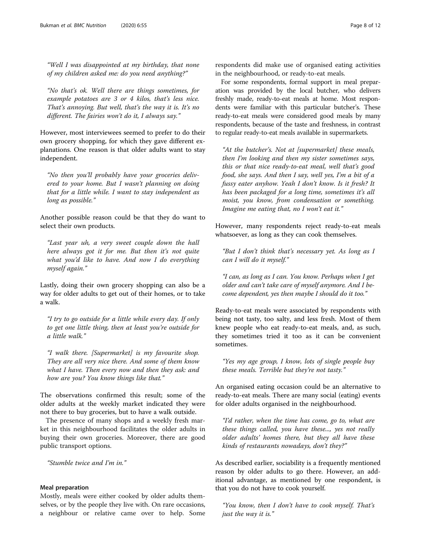"Well I was disappointed at my birthday, that none of my children asked me: do you need anything?"

"No that's ok. Well there are things sometimes, for example potatoes are 3 or 4 kilos, that's less nice. That's annoying. But well, that's the way it is. It's no different. The fairies won't do it, I always say."

However, most interviewees seemed to prefer to do their own grocery shopping, for which they gave different explanations. One reason is that older adults want to stay independent.

"No then you'll probably have your groceries delivered to your home. But I wasn't planning on doing that for a little while. I want to stay independent as long as possible."

Another possible reason could be that they do want to select their own products.

"Last year uh, a very sweet couple down the hall here always got it for me. But then it's not quite what you'd like to have. And now I do everything myself again."

Lastly, doing their own grocery shopping can also be a way for older adults to get out of their homes, or to take a walk.

"I try to go outside for a little while every day. If only to get one little thing, then at least you're outside for a little walk."

"I walk there. [Supermarket] is my favourite shop. They are all very nice there. And some of them know what I have. Then every now and then they ask: and how are you? You know things like that."

The observations confirmed this result; some of the older adults at the weekly market indicated they were not there to buy groceries, but to have a walk outside.

The presence of many shops and a weekly fresh market in this neighbourhood facilitates the older adults in buying their own groceries. Moreover, there are good public transport options.

"Stumble twice and I'm in."

# Meal preparation

Mostly, meals were either cooked by older adults themselves, or by the people they live with. On rare occasions, a neighbour or relative came over to help. Some

respondents did make use of organised eating activities in the neighbourhood, or ready-to-eat meals.

For some respondents, formal support in meal preparation was provided by the local butcher, who delivers freshly made, ready-to-eat meals at home. Most respondents were familiar with this particular butcher's. These ready-to-eat meals were considered good meals by many respondents, because of the taste and freshness, in contrast to regular ready-to-eat meals available in supermarkets.

"At the butcher's. Not at [supermarket] these meals, then I'm looking and then my sister sometimes says, this or that nice ready-to-eat meal, well that's good food, she says. And then I say, well yes, I'm a bit of a fussy eater anyhow. Yeah I don't know. Is it fresh? It has been packaged for a long time, sometimes it's all moist, you know, from condensation or something. Imagine me eating that, no I won't eat it."

However, many respondents reject ready-to-eat meals whatsoever, as long as they can cook themselves.

"But I don't think that's necessary yet. As long as I can I will do it myself."

"I can, as long as I can. You know. Perhaps when I get older and can't take care of myself anymore. And I become dependent, yes then maybe I should do it too."

Ready-to-eat meals were associated by respondents with being not tasty, too salty, and less fresh. Most of them knew people who eat ready-to-eat meals, and, as such, they sometimes tried it too as it can be convenient sometimes.

"Yes my age group, I know, lots of single people buy these meals. Terrible but they're not tasty."

An organised eating occasion could be an alternative to ready-to-eat meals. There are many social (eating) events for older adults organised in the neighbourhood.

"I'd rather, when the time has come, go to, what are these things called, you have these..., yes not really older adults' homes there, but they all have these kinds of restaurants nowadays, don't they?"

As described earlier, sociability is a frequently mentioned reason by older adults to go there. However, an additional advantage, as mentioned by one respondent, is that you do not have to cook yourself.

"You know, then I don't have to cook myself. That's just the way it is."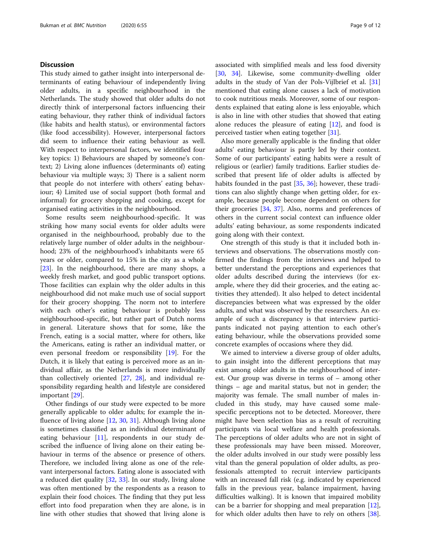# **Discussion**

This study aimed to gather insight into interpersonal determinants of eating behaviour of independently living older adults, in a specific neighbourhood in the Netherlands. The study showed that older adults do not directly think of interpersonal factors influencing their eating behaviour, they rather think of individual factors (like habits and health status), or environmental factors (like food accessibility). However, interpersonal factors did seem to influence their eating behaviour as well. With respect to interpersonal factors, we identified four key topics: 1) Behaviours are shaped by someone's context; 2) Living alone influences (determinants of) eating behaviour via multiple ways; 3) There is a salient norm that people do not interfere with others' eating behaviour; 4) Limited use of social support (both formal and informal) for grocery shopping and cooking, except for organised eating activities in the neighbourhood.

Some results seem neighbourhood-specific. It was striking how many social events for older adults were organised in the neighbourhood, probably due to the relatively large number of older adults in the neighbourhood; 23% of the neighbourhood's inhabitants were 65 years or older, compared to 15% in the city as a whole [[23\]](#page-10-0). In the neighbourhood, there are many shops, a weekly fresh market, and good public transport options. Those facilities can explain why the older adults in this neighbourhood did not make much use of social support for their grocery shopping. The norm not to interfere with each other's eating behaviour is probably less neighbourhood-specific, but rather part of Dutch norms in general. Literature shows that for some, like the French, eating is a social matter, where for others, like the Americans, eating is rather an individual matter, or even personal freedom or responsibility [[19](#page-10-0)]. For the Dutch, it is likely that eating is perceived more as an individual affair, as the Netherlands is more individually than collectively oriented [[27,](#page-10-0) [28](#page-10-0)], and individual responsibility regarding health and lifestyle are considered important [[29](#page-10-0)].

Other findings of our study were expected to be more generally applicable to older adults; for example the in-fluence of living alone [[12](#page-10-0), [30](#page-10-0), [31](#page-11-0)]. Although living alone is sometimes classified as an individual determinant of eating behaviour [\[11](#page-10-0)], respondents in our study described the influence of living alone on their eating behaviour in terms of the absence or presence of others. Therefore, we included living alone as one of the relevant interpersonal factors. Eating alone is associated with a reduced diet quality [[32,](#page-11-0) [33\]](#page-11-0). In our study, living alone was often mentioned by the respondents as a reason to explain their food choices. The finding that they put less effort into food preparation when they are alone, is in line with other studies that showed that living alone is associated with simplified meals and less food diversity [[30,](#page-10-0) [34\]](#page-11-0). Likewise, some community-dwelling older adults in the study of Van der Pols-Vijlbrief et al. [[31](#page-11-0)] mentioned that eating alone causes a lack of motivation to cook nutritious meals. Moreover, some of our respondents explained that eating alone is less enjoyable, which is also in line with other studies that showed that eating alone reduces the pleasure of eating  $[12]$  $[12]$ , and food is perceived tastier when eating together [\[31\]](#page-11-0).

Also more generally applicable is the finding that older adults' eating behaviour is partly led by their context. Some of our participants' eating habits were a result of religious or (earlier) family traditions. Earlier studies described that present life of older adults is affected by habits founded in the past [[35,](#page-11-0) [36\]](#page-11-0); however, these traditions can also slightly change when getting older, for example, because people become dependent on others for their groceries [[34](#page-11-0), [37](#page-11-0)]. Also, norms and preferences of others in the current social context can influence older adults' eating behaviour, as some respondents indicated going along with their context.

One strength of this study is that it included both interviews and observations. The observations mostly confirmed the findings from the interviews and helped to better understand the perceptions and experiences that older adults described during the interviews (for example, where they did their groceries, and the eating activities they attended). It also helped to detect incidental discrepancies between what was expressed by the older adults, and what was observed by the researchers. An example of such a discrepancy is that interview participants indicated not paying attention to each other's eating behaviour, while the observations provided some concrete examples of occasions where they did.

We aimed to interview a diverse group of older adults, to gain insight into the different perceptions that may exist among older adults in the neighbourhood of interest. Our group was diverse in terms of – among other things – age and marital status, but not in gender; the majority was female. The small number of males included in this study, may have caused some malespecific perceptions not to be detected. Moreover, there might have been selection bias as a result of recruiting participants via local welfare and health professionals. The perceptions of older adults who are not in sight of these professionals may have been missed. Moreover, the older adults involved in our study were possibly less vital than the general population of older adults, as professionals attempted to recruit interview participants with an increased fall risk (e.g. indicated by experienced falls in the previous year, balance impairment, having difficulties walking). It is known that impaired mobility can be a barrier for shopping and meal preparation [\[12](#page-10-0)], for which older adults then have to rely on others [\[38](#page-11-0)].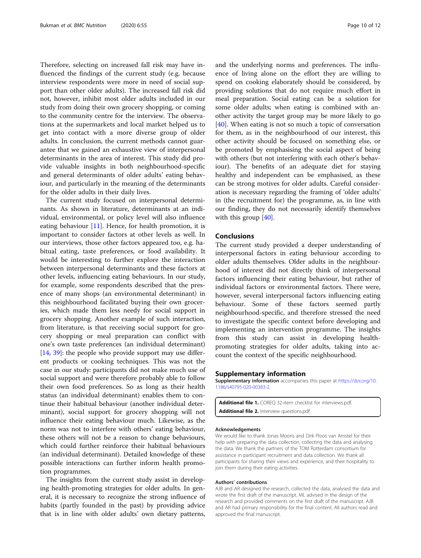<span id="page-9-0"></span>Therefore, selecting on increased fall risk may have influenced the findings of the current study (e.g. because interview respondents were more in need of social support than other older adults). The increased fall risk did not, however, inhibit most older adults included in our study from doing their own grocery shopping, or coming to the community centre for the interview. The observations at the supermarkets and local market helped us to get into contact with a more diverse group of older adults. In conclusion, the current methods cannot guarantee that we gained an exhaustive view of interpersonal determinants in the area of interest. This study did provide valuable insights in both neighbourhood-specific and general determinants of older adults' eating behaviour, and particularly in the meaning of the determinants for the older adults in their daily lives.

The current study focused on interpersonal determinants. As shown in literature, determinants at an individual, environmental, or policy level will also influence eating behaviour [[11\]](#page-10-0). Hence, for health promotion, it is important to consider factors at other levels as well. In our interviews, those other factors appeared too, e.g. habitual eating, taste preferences, or food availability. It would be interesting to further explore the interaction between interpersonal determinants and these factors at other levels, influencing eating behaviours. In our study, for example, some respondents described that the presence of many shops (an environmental determinant) in this neighbourhood facilitated buying their own groceries, which made them less needy for social support in grocery shopping. Another example of such interaction, from literature, is that receiving social support for grocery shopping or meal preparation can conflict with one's own taste preferences (an individual determinant) [[14,](#page-10-0) [39\]](#page-11-0): the people who provide support may use different products or cooking techniques. This was not the case in our study: participants did not make much use of social support and were therefore probably able to follow their own food preferences. So as long as their health status (an individual determinant) enables them to continue their habitual behaviour (another individual determinant), social support for grocery shopping will not influence their eating behaviour much. Likewise, as the norm was not to interfere with others' eating behaviour, these others will not be a reason to change behaviours, which could further reinforce their habitual behaviours (an individual determinant). Detailed knowledge of these possible interactions can further inform health promotion programmes.

The insights from the current study assist in developing health-promoting strategies for older adults. In general, it is necessary to recognize the strong influence of habits (partly founded in the past) by providing advice that is in line with older adults' own dietary patterns,

and the underlying norms and preferences. The influence of living alone on the effort they are willing to spend on cooking elaborately should be considered, by providing solutions that do not require much effort in meal preparation. Social eating can be a solution for some older adults; when eating is combined with another activity the target group may be more likely to go [[40\]](#page-11-0). When eating is not so much a topic of conversation for them, as in the neighbourhood of our interest, this other activity should be focused on something else, or be promoted by emphasising the social aspect of being with others (but not interfering with each other's behaviour). The benefits of an adequate diet for staying healthy and independent can be emphasised, as these can be strong motives for older adults. Careful consideration is necessary regarding the framing of 'older adults' in (the recruitment for) the programme, as, in line with our finding, they do not necessarily identify themselves with this group [\[40](#page-11-0)].

#### Conclusions

The current study provided a deeper understanding of interpersonal factors in eating behaviour according to older adults themselves. Older adults in the neighbourhood of interest did not directly think of interpersonal factors influencing their eating behaviour, but rather of individual factors or environmental factors. There were, however, several interpersonal factors influencing eating behaviour. Some of these factors seemed partly neighbourhood-specific, and therefore stressed the need to investigate the specific context before developing and implementing an intervention programme. The insights from this study can assist in developing healthpromoting strategies for older adults, taking into account the context of the specific neighbourhood.

#### Supplementary information

Supplementary information accompanies this paper at [https://doi.org/10.](https://doi.org/10.1186/s40795-020-00383-2) [1186/s40795-020-00383-2](https://doi.org/10.1186/s40795-020-00383-2).

Additional file 1. COREQ 32-item checklist for interviews.pdf. Additional file 2. Interview questions.pdf

#### Acknowledgements

We would like to thank Jonas Moons and Dirk Ploos van Amstel for their help with preparing the data collection, collecting the data and analysing the data. We thank the partners of the TOM Rotterdam consortium for assistance in participant recruitment and data collection. We thank all participants for sharing their views and experience, and their hospitality to join them during their eating activities.

#### Authors' contributions

AJB and AR designed the research, collected the data, analysed the data and wrote the first draft of the manuscript. ML advised in the design of the research and provided comments on the first draft of the manuscript. AJB and AR had primary responsibility for the final content. All authors read and approved the final manuscript.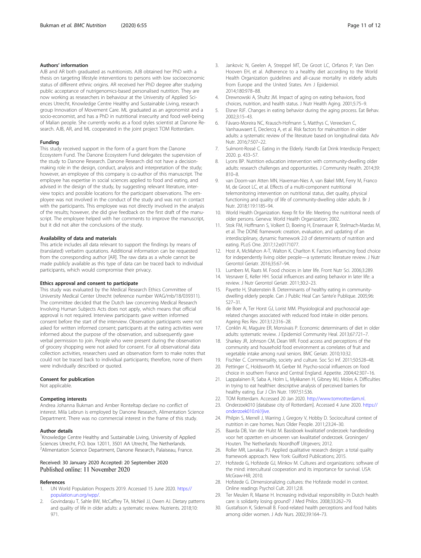#### <span id="page-10-0"></span>Authors' information

AJB and AR both graduated as nutritionists. AJB obtained her PhD with a thesis on targeting lifestyle interventions to persons with low socioeconomic status of different ethnic origins. AR received her PhD degree after studying public acceptance of nutrigenomics-based personalised nutrition. They are now working as researchers in behaviour at the University of Applied Sciences Utrecht, Knowledge Centre Healthy and Sustainable Living, research group Innovation of Movement Care. ML graduated as an agronomist and a socio-economist, and has a PhD in nutritional insecurity and food well-being of Malian people. She currently works as a food styles scientist at Danone Research. AJB, AR, and ML cooperated in the joint project TOM Rotterdam.

#### Funding

This study received support in the form of a grant from the Danone Ecosystem Fund. The Danone Ecosystem Fund delegates the supervision of the study to Danone Research. Danone Research did not have a decisionmaking role in the design, conduct, analysis and interpretation of the study; however, an employee of this company is co-author of this manuscript. The employee has expertise in social sciences applied to food and eating, and advised in the design of the study, by suggesting relevant literature, interview topics and possible locations for the participant observations. The employee was not involved in the conduct of the study and was not in contact with the participants. This employee was not directly involved in the analysis of the results; however, she did give feedback on the first draft of the manuscript. The employee helped with her comments to improve the manuscript, but it did not alter the conclusions of the study.

#### Availability of data and materials

This article includes all data relevant to support the findings by means of (translated) verbatim quotations. Additional information can be requested from the corresponding author [AR]. The raw data as a whole cannot be made publicly available as this type of data can be traced back to individual participants, which would compromise their privacy.

#### Ethics approval and consent to participate

This study was evaluated by the Medical Research Ethics Committee of University Medical Center Utrecht (reference number WAG/mb/18/039311). The committee decided that the Dutch law concerning Medical Research Involving Human Subjects Acts does not apply, which means that official approval is not required. Interview participants gave written informed consent before the start of the interview. Observation participants were not asked for written informed consent; participants at the eating activities were informed about the purpose of the observation, and subsequently gave verbal permission to join. People who were present during the observation of grocery shopping were not asked for consent. For all observational data collection activities, researchers used an observation form to make notes that could not be traced back to individual participants; therefore, none of them were individually described or quoted.

#### Consent for publication

Not applicable.

#### Competing interests

Andrea Johanna Bukman and Amber Ronteltap declare no conflict of interest. Mila Lebrun is employed by Danone Research, Alimentation Science Department. There was no commercial interest in the frame of this study.

#### Author details

<sup>1</sup> Knowledge Centre Healthy and Sustainable Living, University of Applied Sciences Utrecht, P.O. box 12011, 3501 AA Utrecht, The Netherlands. <sup>2</sup> Alimentation Science Department, Danone Research, Palaiseau, France.

# Received: 30 January 2020 Accepted: 20 September 2020

#### References

- 1. UN World Population Prospects 2019. Accessed 15 June 2020. [https://](https://population.un.org/wpp/) [population.un.org/wpp/](https://population.un.org/wpp/).
- 2. Govindaraju T, Sahle BW, McCaffrey TA, McNeil JJ, Owen AJ. Dietary patterns and quality of life in older adults: a systematic review. Nutrients. 2018;10: 971.
- Jankovic N, Geelen A, Streppel MT, De Groot LC, Orfanos P, Van Den Hooven EH, et al. Adherence to a healthy diet according to the World Health Organization guidelines and all-cause mortality in elderly adults from Europe and the United States. Am J Epidemiol. 2014;180:978–88.
- 4. Drewnowski A, Shultz JM. Impact of aging on eating behaviors, food choices, nutrition, and health status. J Nutr Health Aging. 2001;5:75–9.
- 5. Elsner RJF. Changes in eating behavior during the aging process. Eat Behav. 2002;3:15–43.
- 6. Fávaro-Moreira NC, Krausch-Hofmann S, Matthys C, Vereecken C, Vanhauwaert E, Declercq A, et al. Risk factors for malnutrition in older adults: a systematic review of the literature based on longitudinal data. Adv Nutr. 2016;7:507–22.
- 7. Sulmont-Rossé C. Eating in the Elderly. Handb Eat Drink Interdiscip Perspect; 2020. p. 433–57.
- Lyons BP. Nutrition education intervention with community-dwelling older adults: research challenges and opportunities. J Community Health. 2014;39: 810–8.
- 9. van Doorn-van Atten MN, Haveman-Nies A, van Bakel MM, Ferry M, Franco M, de Groot LC, et al. Effects of a multi-component nutritional telemonitoring intervention on nutritional status, diet quality, physical functioning and quality of life of community-dwelling older adults. Br J Nutr. 2018;119:1185–94.
- 10. World Health Organization. Keep fit for life: Meeting the nutritional needs of older persons. Geneva: World Health Organization; 2002.
- 11. Stok FM, Hoffmann S, Volkert D, Boeing H, Ensenauer R, Stelmach-Mardas M, et al. The DONE framework: creation, evaluation, and updating of an interdisciplinary, dynamic framework 2.0 of determinants of nutrition and eating. PLoS One. 2017;12:e0171077.
- 12. Host A, McMahon A-T, Walton K, Charlton K. Factors influencing food choice for independently living older people—a systematic literature review. J Nutr Gerontol Geriatr. 2016;35:67–94.
- 13. Lumbers M, Raats M. Food choices in later life. Front Nutr Sci. 2006;3:289.
- 14. Vesnaver E, Keller HH. Social influences and eating behavior in later life: a review. J Nutr Gerontol Geriatr. 2011;30:2–23.
- 15. Payette H, Shatenstein B. Determinants of healthy eating in communitydwelling elderly people. Can J Public Heal Can Sante'e Publique. 2005;96: S27–31.
- 16. de Boer A, Ter Horst GJ, Lorist MM. Physiological and psychosocial agerelated changes associated with reduced food intake in older persons. Ageing Res Rev. 2013;12:316–28.
- 17. Conklin AI, Maguire ER, Monsivais P. Economic determinants of diet in older adults: systematic review. J Epidemiol Community Heal. 2013;67:721–7.
- 18. Sharkey JR, Johnson CM, Dean WR. Food access and perceptions of the community and household food environment as correlates of fruit and vegetable intake among rural seniors. BMC Geriatr. 2010;10:32.
- 19. Fischler C. Commensality, society and culture. Soc Sci Inf. 2011;50:528–48.
- 20. Pettinger C, Holdsworth M, Gerber M. Psycho-social influences on food
- choice in southern France and Central England. Appetite. 2004;42:307–16.
- 21. Lappalainen R, Saba A, Holm L, Mykkanen H, Gibney MJ, Moles A. Difficulties in trying to eat healthier: descriptive analysis of perceived barriers for healthy eating. Eur J Clin Nutr. 1997;51:S36.
- 22. TOM Rotterdam. Accessed 20 Jan 2020. [http://www.tomrotterdam.nl.](http://www.tomrotterdam.nl)
- 23. Onderzoek010 [database city of Rotterdam]. Accessed 4 June 2020. [https://](https://onderzoek010.nl//jive) [onderzoek010.nl//jive.](https://onderzoek010.nl//jive)
- 24. Philpin S, Merrell J, Warring J, Gregory V, Hobby D. Sociocultural context of nutrition in care homes. Nurs Older People. 2011;23:24–30.
- 25. Baarda DB, Van der Hulst M. Basisboek kwalitatief onderzoek: handleiding voor het opzetten en uitvoeren van kwalitatief onderzoek. Groningen/ Houten. The Netherlands: Noordhoff Uitgevers; 2012.
- Roller MR, Lavrakas PJ. Applied qualitative research design: a total quality framework approach. New York: Guilford Publications; 2015.
- 27. Hofstede G, Hofstede GJ, Minkov M. Cultures and organizations: software of the mind: intercultural cooperation and its importance for survival. USA: McGraw-Hill; 2010.
- 28. Hofstede G. Dimensionalizing cultures: the Hofstede model in context. Online readings Psychol Cult. 2011;2:8.
- 29. Ter Meulen R, Maarse H. Increasing individual responsibility in Dutch health care: is solidarity losing ground? J Med Philos. 2008;33:262–79.
- 30. Gustafsson K, Sidenvall B. Food-related health perceptions and food habits among older women. J Adv Nurs. 2002;39:164–73.